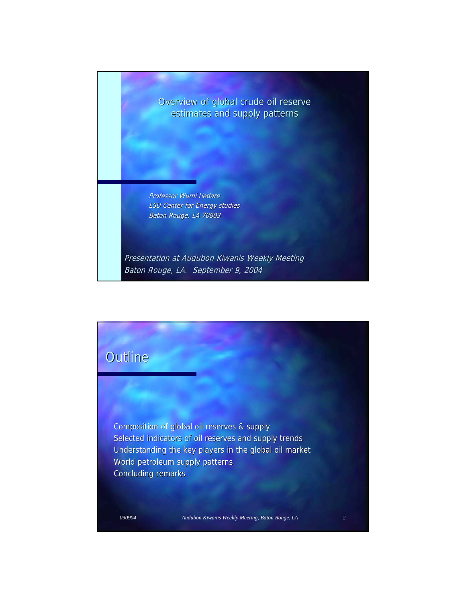Overview of global crude oil reserve estimates and supply patterns

Professor Wumi Iledare LSU Center for Energy studies Baton Rouge, LA 70803

Presentation at Audubon Kiwanis Weekly Meeting Baton Rouge, LA. September 9, 2004

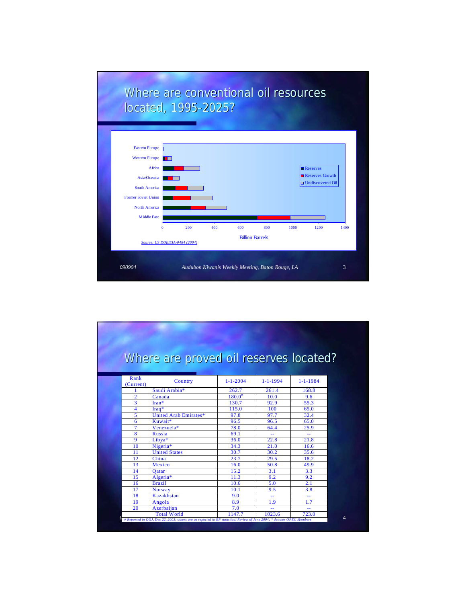

|                   |                       |                | Where are proved oil reserves located? |                |  |  |  |
|-------------------|-----------------------|----------------|----------------------------------------|----------------|--|--|--|
|                   |                       |                |                                        |                |  |  |  |
|                   |                       |                |                                        |                |  |  |  |
| Rank<br>(Current) | Country               | $1 - 1 - 2004$ | $1 - 1 - 1994$                         | $1 - 1 - 1984$ |  |  |  |
|                   | Saudi Arabia*         | 262.7          | 261.4                                  | 168.8          |  |  |  |
| $\overline{2}$    | Canada                | $180.0^{*}$    | 10.0                                   | 9.6            |  |  |  |
| 3                 | Iran*                 | 130.7          | 92.9                                   | 55.3           |  |  |  |
| 4                 | $Iraq*$               | 115.0          | 100                                    | 65.0           |  |  |  |
| 5                 | United Arab Emirates* | 97.8           | 97.7                                   | 32.4           |  |  |  |
| 6                 | Kuwait*               | 96.5           | 96.5                                   | 65.0           |  |  |  |
| $\overline{7}$    | Venezuela*            | 78.0           | 64.4                                   | 25.9           |  |  |  |
| 8                 | Russia                | 69.1           |                                        |                |  |  |  |
| 9                 | $Libya*$              | 36.0           | 22.8                                   | 21.8           |  |  |  |
| 10                | Nigeria*              | 34.3           | 21.0                                   | 16.6           |  |  |  |
| 11                | <b>United States</b>  | 30.7           | 30.2                                   | 35.6           |  |  |  |
| 12                | China                 | 23.7           | 29.5                                   | 18.2           |  |  |  |
| 13                | Mexico                | 16.0           | 50.8                                   | 49.9           |  |  |  |
| 14                | Oatar                 | 15.2           | 3.1                                    | 3.3            |  |  |  |
| 15                | Algeria*              | 11.3           | 9.2                                    | 9.2            |  |  |  |
| 16                | <b>Brazil</b>         | 10.6           | 5.0                                    | 2.1            |  |  |  |
| 17                | Norway                | 10.1           | 9.5                                    | 3.8            |  |  |  |
| 18                | Kazakhstan            | 9.0            | $\sim$ $\sim$                          | ۰.             |  |  |  |
| 19                | Angola                | 8.9            | 1.9                                    | 1.7            |  |  |  |
| 20                | Azerbaijan            | 7.0            |                                        |                |  |  |  |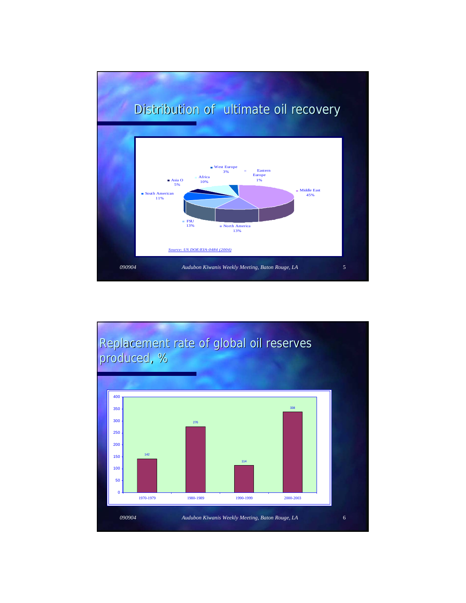

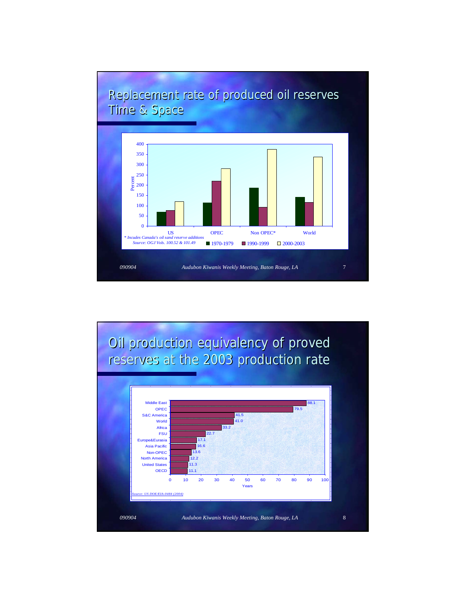

Oil production equivalency of proved reserves at the 2003 production rate

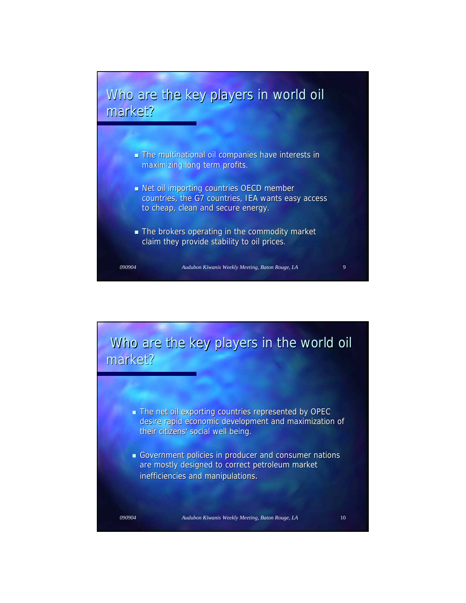

- The multinational oil companies have interests in The multinational oil companies have interests in maximizing long term profits.
- Net oil importing countries OECD member countries, the G7 countries, IEA wants easy access to cheap, clean and secure energy.
- $\blacksquare$  The brokers operating in the commodity market claim they provide stability to oil prices.

*090904 Audubon Kiwanis Weekly Meeting, Baton Rouge, LA* 9

Who are the key players in the world oil market? market?

- The net oil exporting countries represented by OPEC The net oil exporting countries represented by OPEC desire rapid economic development and maximization of their citizens' social well being.
- Government policies in producer and consumer nations are mostly designed to correct petroleum market inefficiencies and manipulations.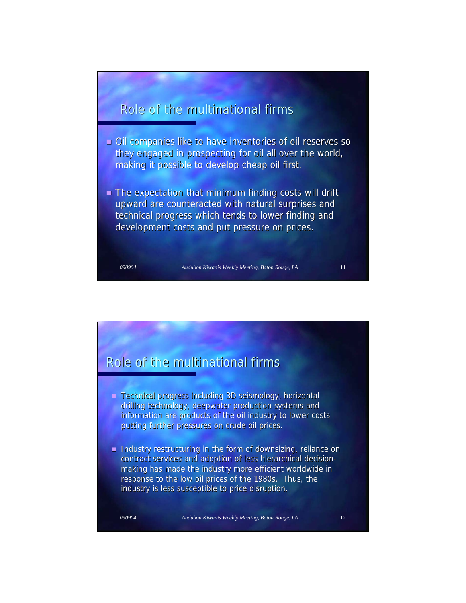

- $\Box$  Oil companies like to have inventories of oil reserves so they engaged in prospecting for oil all over the world, making it possible to develop cheap oil first.
- $\blacksquare$  The expectation that minimum finding costs will drift upward are counteracted with natural surprises and technical progress which tends to lower finding and development costs and put pressure on prices.

*090904 Audubon Kiwanis Weekly Meeting, Baton Rouge, LA* 11

## Role of the multinational firms

- $\Box$  Technical progress including 3D seismology, horizontal drilling technology, deepwater production systems and information are products of the oil industry to lower costs putting further pressures on crude oil prices.
- Industry restructuring in the form of downsizing, reliance on contract services and adoption of less hierarchical decisionmaking has made the industry more efficient worldwide in response to the low oil prices of the 1980s. Thus, the industry is less susceptible to price disruption.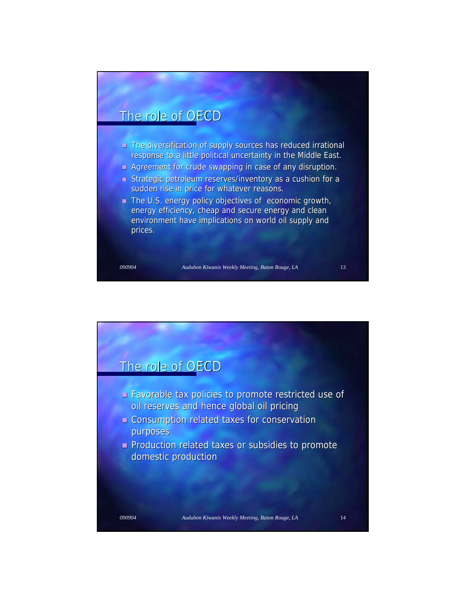### The role of OECD

- The diversification of supply sources has reduced irrational response to a little political uncertainty in the Middle East.
- $\Box$  Agreement for crude swapping in case of any disruption.
- Strategic petroleum reserves/inventory as a cushion for a sudden rise in price for whatever reasons.
- The U.S. energy policy objectives of economic growth, energy efficiency, cheap and secure energy and clean environment have implications on world oil supply and prices.

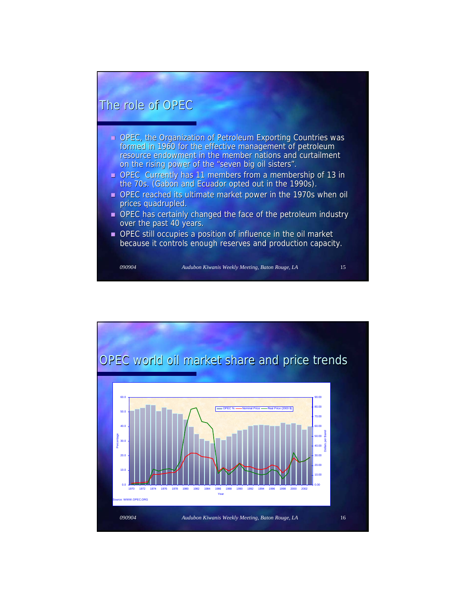#### The role of OPEC



- OPEC Currently has 11 members from a membership of 13 in the 70s. (Gabon and Ecuador opted out in the 1990s).
- $\blacksquare$  OPEC reached its ultimate market power in the 1970s when oil prices quadrupled.
- $\blacksquare$  OPEC has certainly changed the face of the petroleum industry over the past 40 years.
- OPEC still occupies a position of influence in the oil market OPEC still occupies a position of influence in the oil market because it controls enough reserves and production capacity.

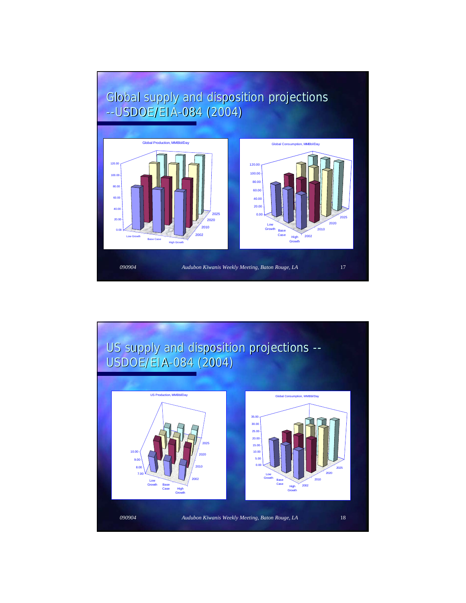

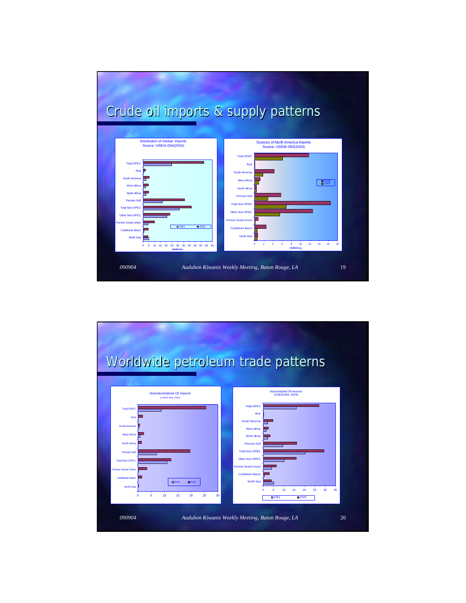# Crude oil imports & supply patterns